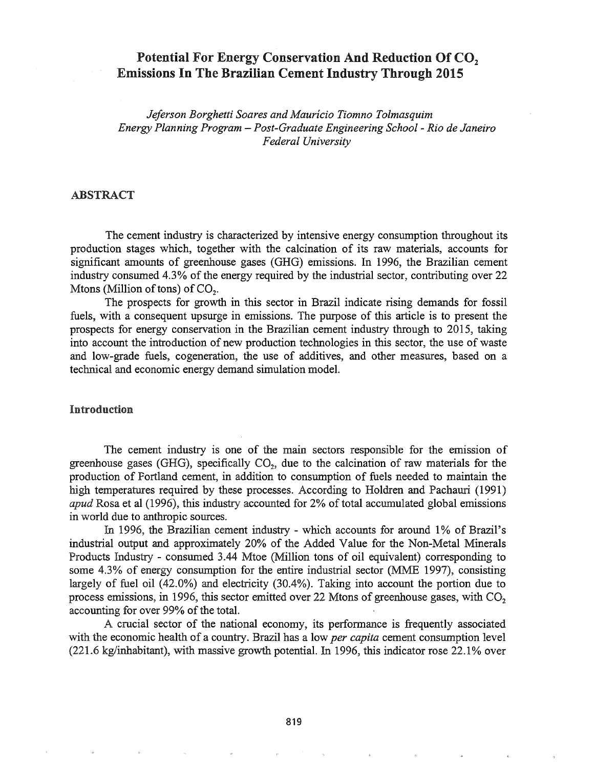# Potential For Energy Conservation And Reduction Of CO<sub>2</sub> Emissions In The Brazilian Cement Industry Through 2015

*Jeferson Borghetti Soares and Mauricio Tiomno Tolmasquim Energy Planning Program* - *Post-Graduate Engineering School* - *Rio de Janeiro Federal University*

### ABSTRACT

The cement industry is characterized by intensive energy consumption throughout its production stages which, together with the calcination of its raw materials, accounts for significant amounts of greenhouse gases (GHG) emissions. In 1996, the Brazilian cement industry consumed 4.3% of the energy required by the industrial sector, contributing over 22 Mtons (Million of tons) of  $CO<sub>2</sub>$ .

The prospects for growth in this sector in Brazil indicate rising demands for fossil fuels, with a consequent upsurge in emissions. The purpose of this article is to present the prospects for energy conservation in the Brazilian cement industry through to 2015, taking into account the introduction of new production technologies in this sector, the use of waste and low-grade fuels, cogeneration, the use of additives, and other measures, based on a technical and economic energy demand simulation model.

#### Introduction

The cement industry is one of the main sectors responsible for the emission of greenhouse gases (GHG), specifically  $CO<sub>2</sub>$ , due to the calcination of raw materials for the production of Portland cement, in addition to consumption of fuels needed to maintain the high temperatures required by these processes. According to Holdren and Pachauri (1991) *apud* Rosa et al (1996), this industry accounted for 2% of total accumulated global emissions in world due to anthropic sources.

In 1996, the Brazilian cement industry - which accounts for around 1% of Brazil's industrial output and approximately 20% of the Added Value for the Non-Metal Minerals Products Industry - consumed 3.44 Mtoe (Million tons of oil equivalent) corresponding to some 4.3% of energy consumption for the entire industrial sector (MME 1997), consisting largely of fuel oil (42.0%) and electricity (30.4%). Taking into account the portion due to process emissions, in 1996, this sector emitted over 22 Mtons of greenhouse gases, with  $CO<sub>2</sub>$ accounting for over 99% of the total.

A crucial sector of the national economy, its performance is frequently associated with the economic health of a country. Brazil has a low *per capita* cement consumption level  $(221.6 \text{ kg/inhabitant})$ , with massive growth potential. In 1996, this indicator rose 22.1% over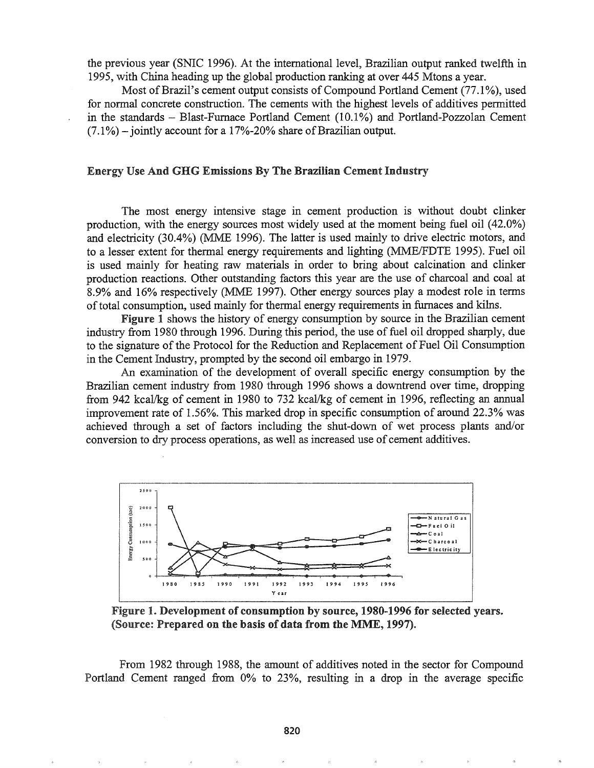the previous year (SNIC 1996). At the intemationallevel, Brazilian output ranked twelfth in 1995, with China heading up the global production ranking at over 445 Mtons a year.

Most of Brazil's cement output consists of Compound Portland Cement (77.1%), used for normal concrete construction. The cements with the highest levels of additives permitted in the standards - Blast-Furnace Portland Cement (10.1%) and Portland-Pozzolan Cement  $(7.1\%)$  – jointly account for a 17%-20% share of Brazilian output.

#### Energy Use And GHG Emissions By The Brazilian Cement Industry

The most energy intensive stage in cement production is without doubt clinker production, with the energy sources most widely used at the moment being fuel oil (42.0%) and electricity (30.4%) (MME 1996). The latter is used mainly to drive electric motors, and to a lesser extent for thermal energy requirements and lighting (MME/FDTE 1995). Fuel oil is used mainly for heating raw materials in order to bring about calcination and clinker production reactions. Other outstanding factors this year are the use of charcoal and coal at 8.9% and 16% respectively (MME 1997). Other energy sources playa modest role in terms of total consumption, used mainly for thermal energy requirements in furnaces and kilns.

Figure 1 shows the history of energy consumption by source in the Brazilian cement industry from 1980 through 1996. During this period, the use of fuel oil dropped sharply, due to the signature of the Protocol for the Reduction and Replacement of Fuel Oil Consumption in the Cement Industry, prompted by the second oil embargo in 1979.

An examination of the development of overall specific energy consumption by the Brazilian cement industry from 1980 through 1996 shows a downtrend over time, dropping from 942 kcal/kg of cement in 1980 to 732 kcal/kg of cement in 1996, reflecting an annual improvement rate of 1.56%. This marked drop in specific consumption of around 22.3% was achieved through a set of factors including the shut-down of wet process plants and/or conversion to dry process operations, as well as increased use of cement additives.



Figure 1. Development of consumption by source, 1980-1996 for selected years. (Source: Prepared on the basis of data from the MME, 1997).

From 1982 through 1988, the amount of additives noted in the sector for Compound Portland Cement ranged from 0% to 23%, resulting in a drop in the average specific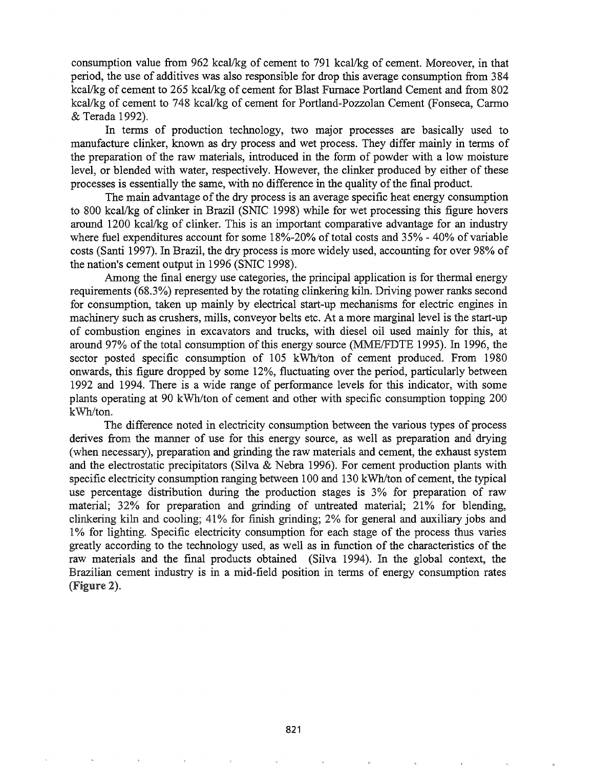consumption value from 962 kcal/kg of cement to 791 kcal/kg of cement. Moreover, in that period, the use of additives was also responsible for drop this average consumption from 384 kcal/kg of cement to 265 kcal/kg of cement for Blast Furnace Portland Cement and from 802 kcal/kg of cement to 748 kcal/kg of cement for Portland-Pozzolan Cement (Fonseca, Carmo & Terada 1992).

In terms of production technology, two major processes are basically used to manufacture clinker, known as dry process and wet process. They differ mainly in terms of the preparation of the raw materials, introduced in the form of powder with a low moisture level, or blended with water, respectively. However, the clinker produced by either of these processes is essentially the same, with no difference in the quality of the final product.

The main advantage of the dry process is an average specific heat energy consumption to 800 kcal/kg of clinker in Brazil (SNIC 1998) while for wet processing this figure hovers around 1200 kcal/kg of clinker. This is an important comparative advantage for an industry where fuel expenditures account for some  $18\%$ -20% of total costs and 35% - 40% of variable costs (Santi 1997). In Brazil, the dry process is more widely used, accounting for over 98% of the nation's cement output in 1996 (SNIC 1998).

Among the final energy use categories, the principal application is for thermal energy requirements (68.3%) represented by the rotating clinkering kiln. Driving power ranks second for consumption, taken up mainly by electrical start-up mechanisms for electric engines in machinery such as crushers, mills, conveyor belts etc. At a more marginal level is the start-up of combustion engines in excavators and trucks, with diesel oil used mainly for this, at around 97% of the total consumption of this energy source (MME/FDTE 1995). In 1996, the sector posted specific consumption of 105 kWh/ton of cement produced. From 1980 onwards, this figure dropped by some 12%, fluctuating over the period, particularly between 1992 and 1994. There is a wide range of performance levels for this indicator, with some plants operating at 90 kWh/ton of cement and other with specific consumption topping 200 kWh/ton.

The difference noted in electricity consumption between the various types of process derives from the manner of use for this energy source, as well as preparation and drying (when necessary), preparation and grinding the raw materials and cement, the exhaust system and the electrostatic precipitators (Silva & Nebra 1996). For cement production plants with specific electricity consumption ranging between 100 and 130 kWh/ton of cement, the typical use percentage distribution during the production stages is 3% for preparation of raw material; 32% for preparation and grinding of untreated material; 21% for blending, clinkering kiln and cooling; 41% for finish grinding; 2% for general and auxiliary jobs and 1% for lighting. Specific electricity consumption for each stage of the process thus varies greatly according to the technology used, as well as in function of the characteristics of the raw materials and the final products obtained (Silva 1994). In the global context, the Brazilian cement industry is in a mid-field position in terms of energy consumption rates (Figure 2).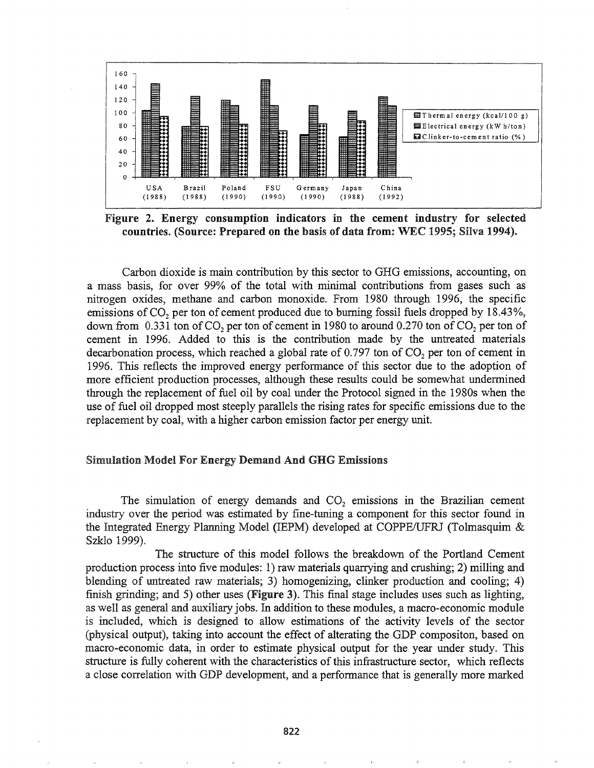

Figure 2. Energy consumption indicators in the cement industry for selected countries. (Source: Prepared on the basis of data from: WEC 1995; Silva 1994).

Carbon dioxide is main contribution by this sector to GHG emissions, accounting, on a mass basis, for over 99% of the total with minimal contributions from gases such as nitrogen oxides, methane and carbon monoxide. From 1980 through 1996, the specific emissions of CO<sub>2</sub> per ton of cement produced due to burning fossil fuels dropped by 18.43%, down from  $0.331$  ton of CO<sub>2</sub> per ton of cement in 1980 to around  $0.270$  ton of CO<sub>2</sub> per ton of cement in 1996. Added to this is the contribution made by the untreated materials decarbonation process, which reached a global rate of  $0.797$  ton of  $CO<sub>2</sub>$  per ton of cement in 1996. This reflects the improved energy perfonnance of this sector due to the adoption of more efficient production processes, although these results could be somewhat undermined through the replacement of fuel oil by coal under the Protocol signed in the 1980s when the use offuel oil dropped most steeply parallels the rising rates for specific emissions due to the replacement by coal, with a higher carbon emission factor per energy unit.

### Simulation Model For Energy Demand And GHG Emissions

The simulation of energy demands and  $CO<sub>2</sub>$  emissions in the Brazilian cement industry over the period was estimated by fine-tuning a component for this sector found in the Integrated Energy Planning Model (IEPM) developed at COPPE/UFRJ (Tolmasquim  $\&$ Szklo 1999).

The structure of this model follows the breakdown of the Portland Cement production process into five modules: 1) raw materials quarrying and crushing; 2) milling and blending of untreated raw materials; 3) homogenizing, clinker production and cooling; 4) finish grinding; and 5) other uses (Figure 3). This final stage includes uses such as lighting, as well as general and auxiliary jobs. In addition to these modules, a macro-economic module is included, which is designed to allow estimations of the activity levels of the sector (physical output), taking into account the effect of alterating the GDP compositon, based on macro-economic data, in order to estimate physical output for the year under study. This structure is fully coherent with the characteristics of this infrastructure sector, which reflects a close correlation with GDP development, and a performance that is generally more marked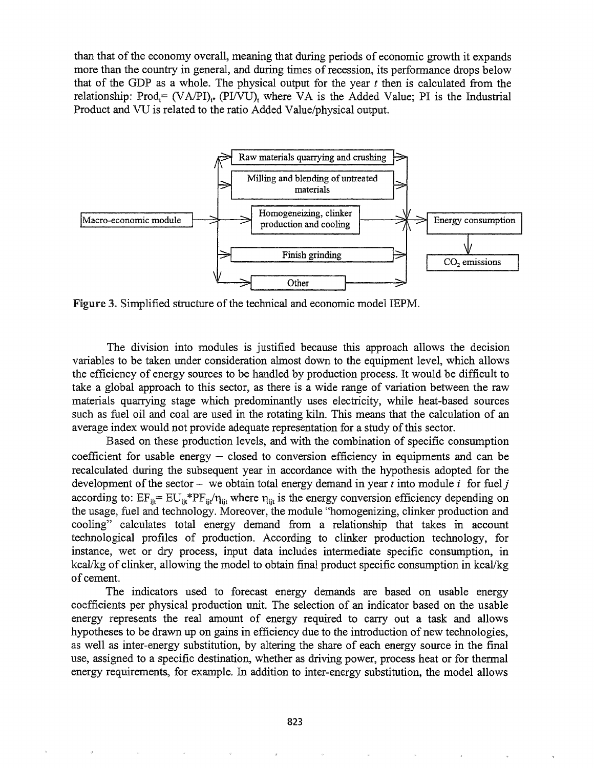than that of the economy overall, meaning that during periods of economic growth it expands more than the country in general, and during times of recession, its performance drops below that of the GDP as a whole. The physical output for the year  $t$  then is calculated from the relationship: Prod= (VA/PI)<sub>t\*</sub> (PI/VU), where VA is the Added Value; PI is the Industrial Product and VU is related to the ratio Added Value/physical output.



Figure 3. Simplified structure of the technical and economic model IEPM.

The division into modules is justified because this approach allows the decision variables to be taken under consideration almost down to the equipment level, which allows the efficiency of energy sources to be handled by production process. It would be difficult to take a global approach to this sector, as there is a wide range of variation between the raw materials quarrying stage which predominantly uses electricity, while heat-based sources such as fuel oil and coal are used in the rotating kiln. This means that the calculation of an average index would not provide adequate representation for a study of this sector.

Based on these production levels, and with the combination of specific consumption coefficient for usable energy  $-$  closed to conversion efficiency in equipments and can be recalculated during the subsequent year in accordance with the hypothesis adopted for the development of the sector - we obtain total energy demand in year  $t$  into module  $i$  for fuel  $j$ according to:  $EF_{ji} = EU_{ji} * PF_{ji} / \eta_{ji}$  where  $\eta_{ji}$  is the energy conversion efficiency depending on the usage, fuel and technology. Moreover, the module "homogenizing, clinker production and cooling" calculates total energy demand from a relationship that takes in account technological profiles of production. According to clinker production technology, for instance, wet or dry process, input data includes intermediate specific consumption, in kca $V$ kg of clinker, allowing the model to obtain final product specific consumption in kcal/kg of cement.

The indicators used to forecast energy demands are based on usable energy coefficients per physical production unit. The selection of an indicator based on the usable energy represents the real amount of energy required to carry out a task and allows hypotheses to be drawn up on gains in efficiency due to the introduction of new technologies, as well as inter-energy substitution, by altering the share of each energy source in the final use, assigned to a specific destination, whether as driving power, process heat or for thennal energy requirements, for example. In addition to inter-energy substitution, the model allows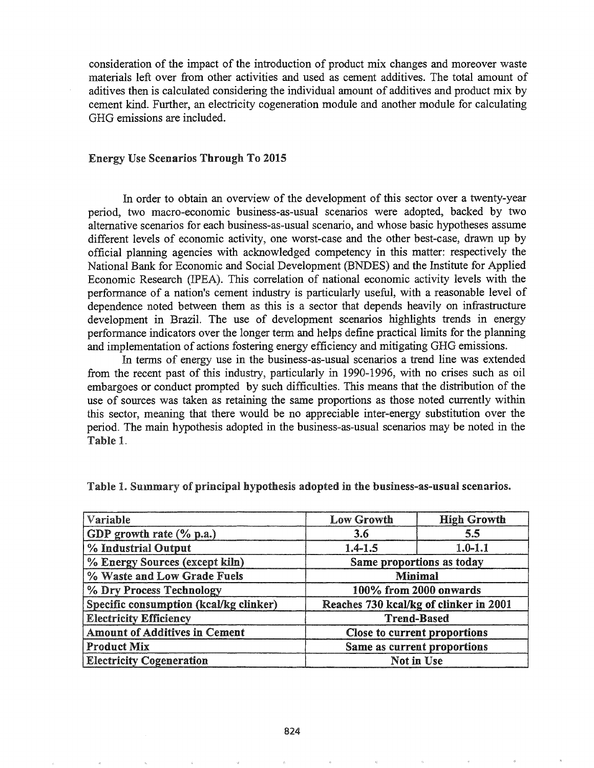consideration of the impact of the introduction of product mix changes and moreover waste materials left over from other activities and used as cement additives. The total amount of aditives then is calculated considering the individual amount of additives and product mix by cement kind. Further, an electricity cogeneration module and another module for calculating GHG emissions are included.

#### Energy Use Scenarios Through To 2015

In order to obtain an overview of the development of this sector over a twenty-year period, two macro-economic business-as-usual scenarios were adopted, backed by two alternative scenarios for each business-as-usual scenario, and whose basic hypotheses assume different levels of economic activity, one worst-case and the other best-case, drawn up by official planning agencies with acknowledged competency in this matter: respectively the National Bank for Economic and Social Development (BNDES) and the Institute for Applied Economic Research (IPEA). This correlation of national economic activity levels with the performance of a nation's cement industry is particularly useful, with a reasonable level of dependence noted between them as this is a sector that depends heavily on infrastructure development in Brazil. The use of development scenarios highlights trends in energy performance indicators over the longer term and helps define practical limits for the planning and implementation of actions fostering energy efficiency and mitigating GHG emissions.

In terms of energy use in the business-as-usual scenarios a trend line was extended from the recent past of this industry, particularly in 1990-1996, with no crises such as oil embargoes or conduct prompted by such difficulties. This means that the distribution of the use of sources was taken as retaining the same proportions as those noted currently within this sector, meaning that there would be no appreciable inter-energy substitution over the period. The main hypothesis adopted in the business-as-usual scenarios may be noted in the Table 1.

| Variable                               | <b>High Growth</b><br><b>Low Growth</b> |             |  |
|----------------------------------------|-----------------------------------------|-------------|--|
| GDP growth rate $(\%$ p.a.)            | 3.6                                     | 5.5         |  |
| % Industrial Output                    | $1.4 - 1.5$                             | $1.0 - 1.1$ |  |
| % Energy Sources (except kiln)         | Same proportions as today               |             |  |
| % Waste and Low Grade Fuels            | <b>Minimal</b>                          |             |  |
| % Dry Process Technology               | 100% from 2000 onwards                  |             |  |
| Specific consumption (kcal/kg clinker) | Reaches 730 kcal/kg of clinker in 2001  |             |  |
| <b>Electricity Efficiency</b>          | <b>Trend-Based</b>                      |             |  |
| <b>Amount of Additives in Cement</b>   | Close to current proportions            |             |  |
| <b>Product Mix</b>                     | Same as current proportions             |             |  |
| <b>Electricity Cogeneration</b>        | Not in Use                              |             |  |

Table 1. Summary of principal hypothesis adopted in the business-as-usual scenarios.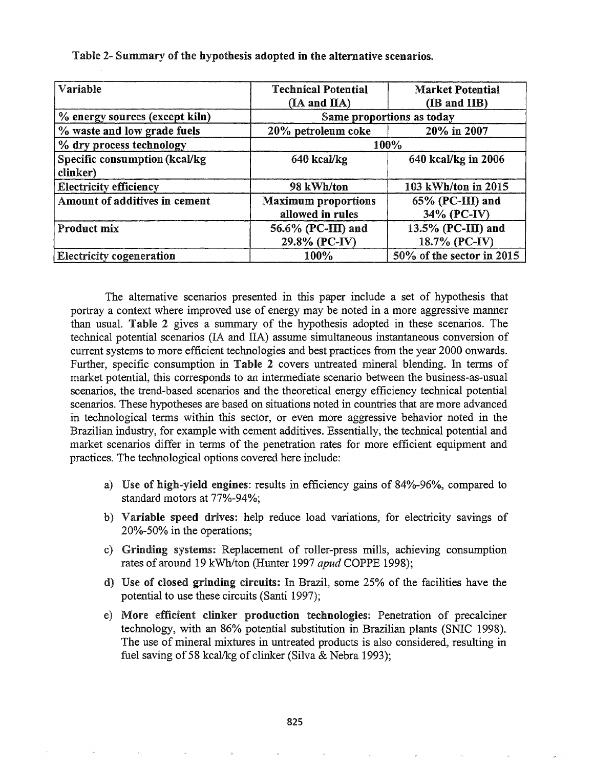| Variable                        | <b>Technical Potential</b> | <b>Market Potential</b>   |  |  |  |
|---------------------------------|----------------------------|---------------------------|--|--|--|
|                                 | (IA and IIA)               | (IB and IIB)              |  |  |  |
| % energy sources (except kiln)  |                            | Same proportions as today |  |  |  |
| % waste and low grade fuels     | 20% petroleum coke         | 20% in 2007               |  |  |  |
| % dry process technology        | 100%                       |                           |  |  |  |
| Specific consumption (kcal/kg)  | 640 kcal/kg                | 640 kcal/kg in 2006       |  |  |  |
| clinker)                        |                            |                           |  |  |  |
| <b>Electricity efficiency</b>   | 98 kWh/ton                 | 103 kWh/ton in 2015       |  |  |  |
| Amount of additives in cement   | <b>Maximum</b> proportions | 65% (PC-III) and          |  |  |  |
|                                 | allowed in rules           | 34% (PC-IV)               |  |  |  |
| <b>Product mix</b>              | 56.6% (PC-III) and         | 13.5% (PC-III) and        |  |  |  |
|                                 | 29.8% (PC-IV)              | 18.7% (PC-IV)             |  |  |  |
| <b>Electricity cogeneration</b> | 100%                       | 50% of the sector in 2015 |  |  |  |

Table 2- Summary of the hypothesis adopted in the alternative scenarios.

The alternative scenarios presented in this paper include a set of hypothesis that portray a context where improved use of energy may be noted in a more aggressive manner than usual. Table 2 gives a summary of the hypothesis adopted in these scenarios. The technical potential scenarios (IA and lIA) assume simultaneous instantaneous conversion of current systems to more efficient technologies and best practices from the year 2000 onwards. Further, specific consumption in Table 2 covers untreated mineral blending. In terms of market potential, this corresponds to an intennediate scenario between the business-as-usual scenarios, the trend-based scenarios and the theoretical energy efficiency technical potential scenarios. These hypotheses are based on situations noted in countries that are more advanced in technological terms within this sector, or even more aggressive behavior noted in the Brazilian industry, for example with cement additives. Essentially, the technical potential and market scenarios differ in terms of the penetration rates for more efficient equipment and practices. The technological options covered here include:

- a) Use of high-yield engines: results in efficiency gains of 84%-96%, compared to standard motors at 77%-94%;
- b) Variable speed drives: help reduce load variations, for electricity savings of 20%-50% in the operations;
- c) Grinding systems: Replacement of roller-press mills, achieving consumption rates of around 19 kWh/ton (Hunter 1997 *apud* COPPE 1998);
- d) Use of closed grinding circuits: In Brazil, some 25% of the facilities have the potential to use these circuits (Santi 1997);
- More efficient clinker production technologies: Penetration of precalciner technology, with an 86% potential substitution in Brazilian plants (SNIC 1998). The use of mineral mixtures in untreated products is also considered, resulting in fuel saving of 58 kcal/kg of clinker (Silva & Nebra 1993);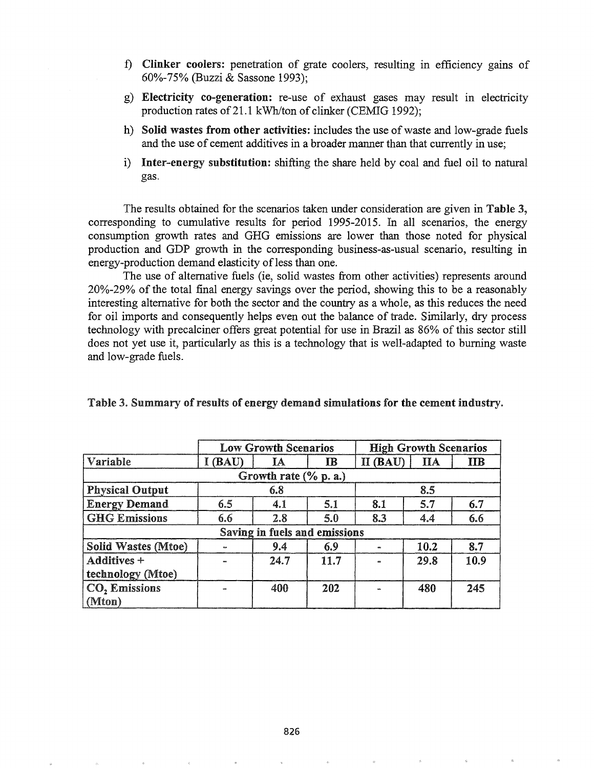- f) Clinker coolers: penetration of grate coolers, resulting in efficiency gains of 60%-75% (Buzzi & Sassone 1993);
- g) Electricity co-generation: re-use of exhaust gases may result in electricity production rates of 21.1 kWh/ton of clinker (CEMIG 1992);
- h) Solid wastes from other activities: includes the use of waste and low-grade fuels and the use of cement additives in a broader manner than that currently in use;
- i) Inter-energy substitution: shifting the share held by coal and fuel oil to natural gas.

The results obtained for the scenarios taken under consideration are given in Table 3, corresponding to cumulative results for period 1995-2015. In all scenarios, the energy consumption growth rates and GHG emissions are lower than those noted for physical production and GDP growth in the corresponding business-as-usual scenario, resulting in energy-production demand elasticity of less than one.

The use of alternative fuels (ie, solid wastes from other activities) represents around 20%-29% of the total final energy savings over the period, showing this to be a reasonably interesting alternative for both the sector and the country as a whole, as this reduces the need for oil imports and consequently helps even out the balance of trade. Similarly, dry process technology with precalciner offers great potential for use in Brazil as 86% of this sector still does not yet use it, particularly as this is a technology that is well-adapted to burning waste and low-grade fuels.

|                               | <b>Low Growth Scenarios</b> |      |              | <b>High Growth Scenarios</b> |           |              |  |
|-------------------------------|-----------------------------|------|--------------|------------------------------|-----------|--------------|--|
| Variable                      | I (BAU)                     | IA   | $\mathbf{I}$ | $II$ (BAU)                   | $\prod A$ | $_{\rm IIB}$ |  |
| Growth rate (% p. a.)         |                             |      |              |                              |           |              |  |
| <b>Physical Output</b>        | 6.8                         |      | 8.5          |                              |           |              |  |
| <b>Energy Demand</b>          | 6.5                         | 4.1  | 5.1          | 8.1                          | 5.7       | 6.7          |  |
| <b>GHG Emissions</b>          | 6.6                         | 2.8  | 5.0          | 8.3                          | 4.4       | 6.6          |  |
| Saving in fuels and emissions |                             |      |              |                              |           |              |  |
| <b>Solid Wastes (Mtoe)</b>    |                             | 9.4  | 6.9          |                              | 10.2      | 8.7          |  |
| Additives +                   |                             | 24.7 | 11.7         |                              | 29.8      | 10.9         |  |
| technology (Mtoe)             |                             |      |              |                              |           |              |  |
| $ CO2$ Emissions              |                             | 400  | 202          |                              | 480       | 245          |  |
| $\vert$ (Mton)                |                             |      |              |                              |           |              |  |

Table 3. Summary of results of energy demand simulations for the cement industry.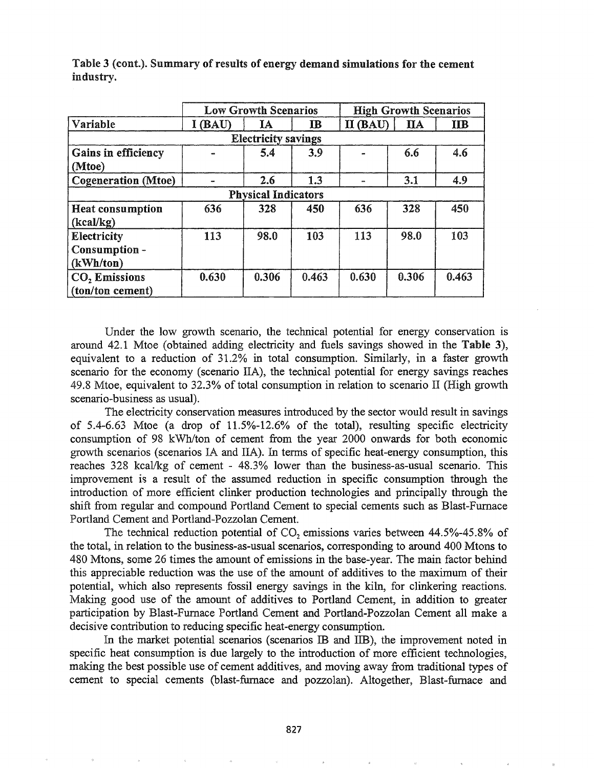|                            |         | <b>Low Growth Scenarios</b><br><b>High Growth Scenarios</b> |             |          |            |            |
|----------------------------|---------|-------------------------------------------------------------|-------------|----------|------------|------------|
| Variable                   | I (BAU) | IA                                                          | $_{\rm IB}$ | II (BAU) | <b>IIA</b> | <b>IIB</b> |
| <b>Electricity savings</b> |         |                                                             |             |          |            |            |
| <b>Gains in efficiency</b> |         | 5.4                                                         | 3.9         |          | 6.6        | 4.6        |
| (Mtoe)                     |         |                                                             |             |          |            |            |
| <b>Cogeneration</b> (Mtoe) |         | 2.6                                                         | 1.3         | m        | 3.1        | 4.9        |
| <b>Physical Indicators</b> |         |                                                             |             |          |            |            |
| <b>Heat consumption</b>    | 636     | 328                                                         | 450         | 636      | 328        | 450        |
| (kcal/kg)                  |         |                                                             |             |          |            |            |
| Electricity                | 113     | 98.0                                                        | 103         | 113      | 98.0       | 103        |
| Consumption -              |         |                                                             |             |          |            |            |
| (kWh/ton)                  |         |                                                             |             |          |            |            |
| $CO2$ Emissions            | 0.630   | 0.306                                                       | 0.463       | 0.630    | 0.306      | 0.463      |
| (ton/ton cement)           |         |                                                             |             |          |            |            |

Table 3 (cont.). Summary of results of energy demand simulations for the cement industry.

Under the low growth scenario, the technical potential for energy conservation is around 42.1 Mtoe (obtained adding electricity and fuels savings showed in the Table 3), equivalent to a reduction of 31.2% in total consumption. Similarly, in a faster growth scenario for the economy (scenario IIA), the technical potential for energy savings reaches 49.8 Mtoe, equivalent to 32.3% of total consumption in relation to scenario II (High growth scenario-business as usual).

The electricity conservation measures introduced by the sector would result in savings of 5.4-6.63 Mtoe (a drop of 11.5%-12.6% of the total), resulting specific electricity consumption of 98 kWh/ton of cement from the year 2000 onwards for both economic growth scenarios (scenarios IA and IIA). In terms of specific heat-energy consumption, this reaches 328 kcal/kg of cement - 48.3% lower than the business-as-usual scenario. This improvement is a result of the assumed reduction in specific consumption through the introduction of more efficient clinker production technologies and principally through the shift from regular and compound Portland Cement to special cements such as Blast-Furnace Portland Cement and Portland-Pozzolan Cement.

The technical reduction potential of  $CO<sub>2</sub>$  emissions varies between 44.5%-45.8% of the total, in relation to the business-as-usual scenarios, corresponding to around 400 Mtons to 480 Mtons, some 26 times the amount of emissions in the base-year. The main factor behind this appreciable reduction was the use of the amount of additives to the maximum of their potential, which also represents fossil energy savings in the kiln, for clinkering reactions. Making good use of the amount of additives to Portland Cement, in addition to greater participation by Blast-Furnace Portland Cement and Portland-Pozzolan Cement all make a decisive contribution to reducing specific heat-energy consumption.

In the market potential scenarios (scenarios IB and IIB), the improvement noted in specific heat consumption is due largely to the introduction of more efficient technologies, making the best possible use of cement additives, and moving away from traditional types of cement to special cements (blast-furnace and pozzolan). Altogether, Blast-furnace and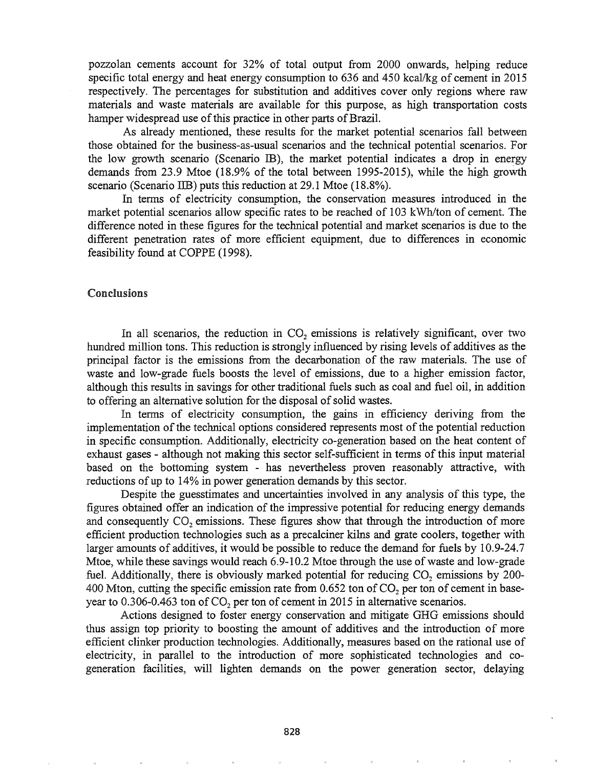pozzolan cements account for 32% of total output from 2000 onwards, helping reduce specific total energy and heat energy consumption to 636 and 450 kcal/kg of cement in 2015 respectively. The percentages for substitution and additives cover only regions where raw materials and waste materials are available for this purpose, as high transportation costs hamper widespread use of this practice in other parts of Brazil.

As already mentioned, these results for the market potential scenarios fall between those obtained for the business-as-usual scenarios and the technical potential scenarios. For the low growth scenario (Scenario IB), the market potential indicates a drop in energy demands from 23.9 Mtoe (18.9% of the total between 1995-2015), while the high growth scenario (Scenario IIB) puts this reduction at 29.1 Mtoe (18.8%).

In terms of electricity consumption, the conservation measures introduced in the market potential scenarios allow specific rates to be reached of 103 kWh/ton of cement. The difference noted in these figures for the technical potential and market scenarios is due to the different penetration rates of more efficient equipment, due to differences in economic feasibility found at COPPE (1998).

#### Conclusions

In all scenarios, the reduction in  $CO<sub>2</sub>$  emissions is relatively significant, over two hundred million tons. This reduction is strongly influenced by rising levels of additives as the principal factor is the emissions from the decarbonation of the raw materials. The use of waste and low-grade fuels boosts the level of emissions, due to a higher emission factor, although this results in savings for other traditional fuels such as coal and fuel oil, in addition to offering an alternative solution for the disposal of solid wastes.

In terms of electricity consumption, the gains in efficiency deriving from the implementation of the technical options considered represents most of the potential reduction in specific consumption. Additionally, electricity co-generation based on the heat content of exhaust gases - although not making this sector self-sufficient in tenns ofthis input material based on the bottoming system - has nevertheless proven reasonably attractive, with reductions of up to  $14\%$  in power generation demands by this sector.

Despite the guesstimates and uncertainties involved in any analysis of this type, the figures obtained offer an indication of the impressive potential for reducing energy demands and consequently CO<sub>2</sub> emissions. These figures show that through the introduction of more efficient production technologies such as a precalciner kilns and grate coolers, together with larger amounts of additives, it would be possible to reduce the demand for fuels by 10.9-24.7 Mtoe, while these savings would reach  $6.9-10.2$  Mtoe through the use of waste and low-grade fuel. Additionally, there is obviously marked potential for reducing  $CO<sub>2</sub>$  emissions by 200-400 Mton, cutting the specific emission rate from  $0.652$  ton of CO<sub>2</sub> per ton of cement in baseyear to  $0.306$ -0.463 ton of CO<sub>2</sub> per ton of cement in 2015 in alternative scenarios.

Actions designed to foster energy conservation and mitigate GHG emissions should thus assign top priority to boosting the amount of additives and the introduction of more efficient clinker production technologies. Additionally, measures based on the rational use of electricity, in parallel to the introduction of more sophisticated technologies and cogeneration facilities, will lighten demands on the power generation sector, delaying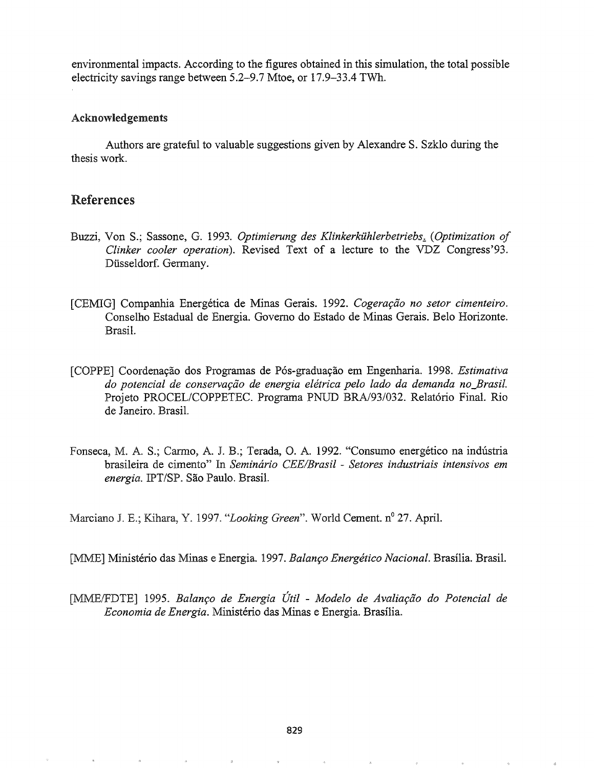environmental impacts. According to the figures obtained in this simulation, the total possible electricity savings range between 5.2-9.7 Mtoe, or 17.9-33.4 TWh.

### Acknowledgements

Authors are grateful to valuable suggestions given by Alexandre S. Szklo during the thesis work.

## References

- Buzzi, Von S.; Sassone, G. 1993. *Optimierung des Klinkerkühlerbetriebs. (Optimization of Clinker cooler operation).* Revised Text of a lecture to the VDZ Congress'93. Dusseldorf. Germany.
- [CEMIG] Companhia Energética de Minas Gerais. 1992. *Cogeração no setor cimenteiro*. Conselho Estadual de Energia. Governo do Estado de Minas Gerais. Belo Horizonte. Brasil.
- [COPPE] Coordenayao dos Programas de P6s-graduayao em Engenharia. 1998. *Estimativa do potencial de conserva9QO de energia eletrica pelo lado da demanda no\_Brasil.* Projeto PROCEL/COPPETEC. Programa PNUD *BRAJ93/032.* Relat6rio Final. Rio de Janeiro. BrasiL
- Fonseca, M. A. S.; Carmo, A. J. B.; Terada, O. A. 1992. "Consumo energético na indústria brasileira de cimento" In *Seminario eEE/Brasil* - *Setores industriais intensivos em energia.* IPT/SP. Sao Paulo. BrasiL

Marciano J. E.; Kihara, Y. 1997. *"Looking Green*". World Cement. n<sup>o</sup> 27. April.

[MME] Ministério das Minas e Energia. 1997. Balanço Energético Nacional. Brasília. Brasil.

[MMEIFDTE] 19950 Balan~o *de Energia Util* - *Modelo de Avalia9ao do Potencial de Economia de Energia*. Ministério das Minas e Energia. Brasília.